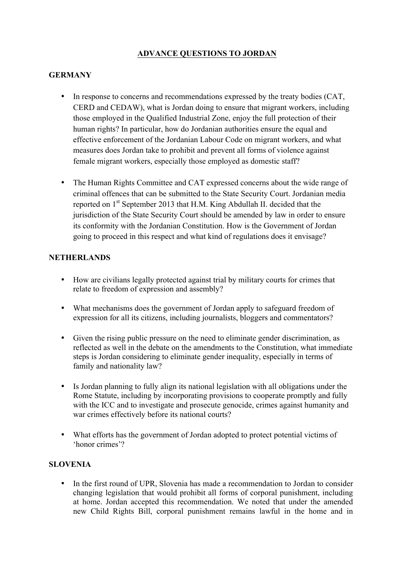# **ADVANCE QUESTIONS TO JORDAN**

#### **GERMANY**

- In response to concerns and recommendations expressed by the treaty bodies (CAT, CERD and CEDAW), what is Jordan doing to ensure that migrant workers, including those employed in the Qualified Industrial Zone, enjoy the full protection of their human rights? In particular, how do Jordanian authorities ensure the equal and effective enforcement of the Jordanian Labour Code on migrant workers, and what measures does Jordan take to prohibit and prevent all forms of violence against female migrant workers, especially those employed as domestic staff?
- The Human Rights Committee and CAT expressed concerns about the wide range of criminal offences that can be submitted to the State Security Court. Jordanian media reported on 1<sup>st</sup> September 2013 that H.M. King Abdullah II. decided that the jurisdiction of the State Security Court should be amended by law in order to ensure its conformity with the Jordanian Constitution. How is the Government of Jordan going to proceed in this respect and what kind of regulations does it envisage?

#### **NETHERLANDS**

- How are civilians legally protected against trial by military courts for crimes that relate to freedom of expression and assembly?
- What mechanisms does the government of Jordan apply to safeguard freedom of expression for all its citizens, including journalists, bloggers and commentators?
- Given the rising public pressure on the need to eliminate gender discrimination, as reflected as well in the debate on the amendments to the Constitution, what immediate steps is Jordan considering to eliminate gender inequality, especially in terms of family and nationality law?
- Is Jordan planning to fully align its national legislation with all obligations under the Rome Statute, including by incorporating provisions to cooperate promptly and fully with the ICC and to investigate and prosecute genocide, crimes against humanity and war crimes effectively before its national courts?
- What efforts has the government of Jordan adopted to protect potential victims of 'honor crimes'?

## **SLOVENIA**

• In the first round of UPR, Slovenia has made a recommendation to Jordan to consider changing legislation that would prohibit all forms of corporal punishment, including at home. Jordan accepted this recommendation. We noted that under the amended new Child Rights Bill, corporal punishment remains lawful in the home and in